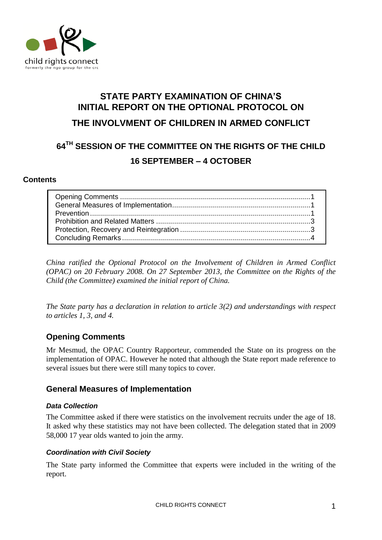

# **STATE PARTY EXAMINATION OF CHINA'S INITIAL REPORT ON THE OPTIONAL PROTOCOL ON THE INVOLVMENT OF CHILDREN IN ARMED CONFLICT**

## **64 TH SESSION OF THE COMMITTEE ON THE RIGHTS OF THE CHILD 16 SEPTEMBER – 4 OCTOBER**

#### **Contents**

*China ratified the Optional Protocol on the Involvement of Children in Armed Conflict (OPAC) on 20 February 2008. On 27 September 2013, the Committee on the Rights of the Child (the Committee) examined the initial report of China.* 

*The State party has a declaration in relation to article 3(2) and understandings with respect to articles 1, 3, and 4.*

## <span id="page-0-0"></span>**Opening Comments**

Mr Mesmud, the OPAC Country Rapporteur, commended the State on its progress on the implementation of OPAC. However he noted that although the State report made reference to several issues but there were still many topics to cover.

## <span id="page-0-1"></span>**General Measures of Implementation**

#### *Data Collection*

The Committee asked if there were statistics on the involvement recruits under the age of 18. It asked why these statistics may not have been collected. The delegation stated that in 2009 58,000 17 year olds wanted to join the army.

#### <span id="page-0-2"></span>*Coordination with Civil Society*

The State party informed the Committee that experts were included in the writing of the report.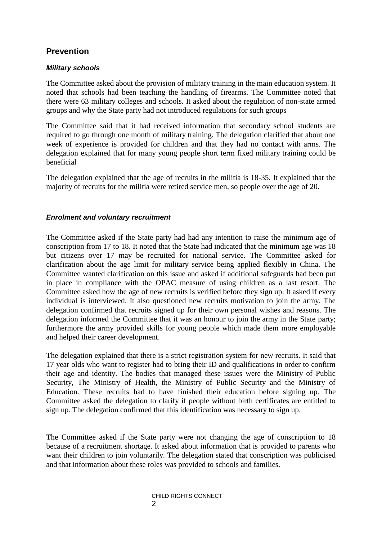## **Prevention**

#### *Military schools*

The Committee asked about the provision of military training in the main education system. It noted that schools had been teaching the handling of firearms. The Committee noted that there were 63 military colleges and schools. It asked about the regulation of non-state armed groups and why the State party had not introduced regulations for such groups

The Committee said that it had received information that secondary school students are required to go through one month of military training. The delegation clarified that about one week of experience is provided for children and that they had no contact with arms. The delegation explained that for many young people short term fixed military training could be beneficial

The delegation explained that the age of recruits in the militia is 18-35. It explained that the majority of recruits for the militia were retired service men, so people over the age of 20.

#### *Enrolment and voluntary recruitment*

The Committee asked if the State party had had any intention to raise the minimum age of conscription from 17 to 18. It noted that the State had indicated that the minimum age was 18 but citizens over 17 may be recruited for national service. The Committee asked for clarification about the age limit for military service being applied flexibly in China. The Committee wanted clarification on this issue and asked if additional safeguards had been put in place in compliance with the OPAC measure of using children as a last resort. The Committee asked how the age of new recruits is verified before they sign up. It asked if every individual is interviewed. It also questioned new recruits motivation to join the army. The delegation confirmed that recruits signed up for their own personal wishes and reasons. The delegation informed the Committee that it was an honour to join the army in the State party; furthermore the army provided skills for young people which made them more employable and helped their career development.

The delegation explained that there is a strict registration system for new recruits. It said that 17 year olds who want to register had to bring their ID and qualifications in order to confirm their age and identity. The bodies that managed these issues were the Ministry of Public Security, The Ministry of Health, the Ministry of Public Security and the Ministry of Education. These recruits had to have finished their education before signing up. The Committee asked the delegation to clarify if people without birth certificates are entitled to sign up. The delegation confirmed that this identification was necessary to sign up.

The Committee asked if the State party were not changing the age of conscription to 18 because of a recruitment shortage. It asked about information that is provided to parents who want their children to join voluntarily. The delegation stated that conscription was publicised and that information about these roles was provided to schools and families.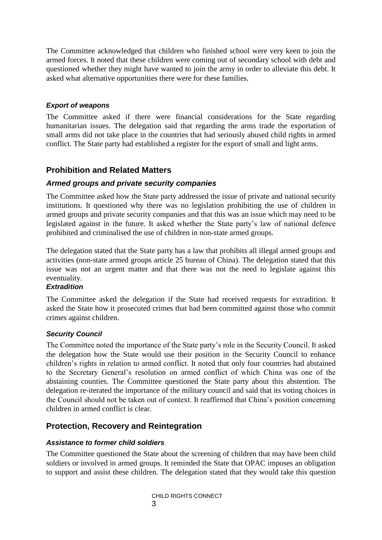The Committee acknowledged that children who finished school were very keen to join the armed forces. It noted that these children were coming out of secondary school with debt and questioned whether they might have wanted to join the army in order to alleviate this debt. It asked what alternative opportunities there were for these families.

#### *Export of weapons*

The Committee asked if there were financial considerations for the State regarding humanitarian issues. The delegation said that regarding the arms trade the exportation of small arms did not take place in the countries that had seriously abused child rights in armed conflict. The State party had established a register for the export of small and light arms.

### <span id="page-2-0"></span>**Prohibition and Related Matters**

#### *Armed groups and private security companies*

The Committee asked how the State party addressed the issue of private and national security institutions. It questioned why there was no legislation prohibiting the use of children in armed groups and private security companies and that this was an issue which may need to be legislated against in the future. It asked whether the State party's law of national defence prohibited and criminalised the use of children in non-state armed groups.

The delegation stated that the State party has a law that prohibits all illegal armed groups and activities (non-state armed groups article 25 bureau of China). The delegation stated that this issue was not an urgent matter and that there was not the need to legislate against this eventuality.

#### *Extradition*

The Committee asked the delegation if the State had received requests for extradition. It asked the State how it prosecuted crimes that had been committed against those who commit crimes against children.

#### *Security Council*

The Committee noted the importance of the State party's role in the Security Council. It asked the delegation how the State would use their position in the Security Council to enhance children's rights in relation to armed conflict. It noted that only four countries had abstained to the Secretary General's resolution on armed conflict of which China was one of the abstaining counties. The Committee questioned the State party about this abstention. The delegation re-iterated the importance of the military council and said that its voting choices in the Council should not be taken out of context. It reaffirmed that China's position concerning children in armed conflict is clear.

## <span id="page-2-1"></span>**Protection, Recovery and Reintegration**

#### *Assistance to former child soldiers*

The Committee questioned the State about the screening of children that may have been child soldiers or involved in armed groups. It reminded the State that OPAC imposes an obligation to support and assist these children. The delegation stated that they would take this question